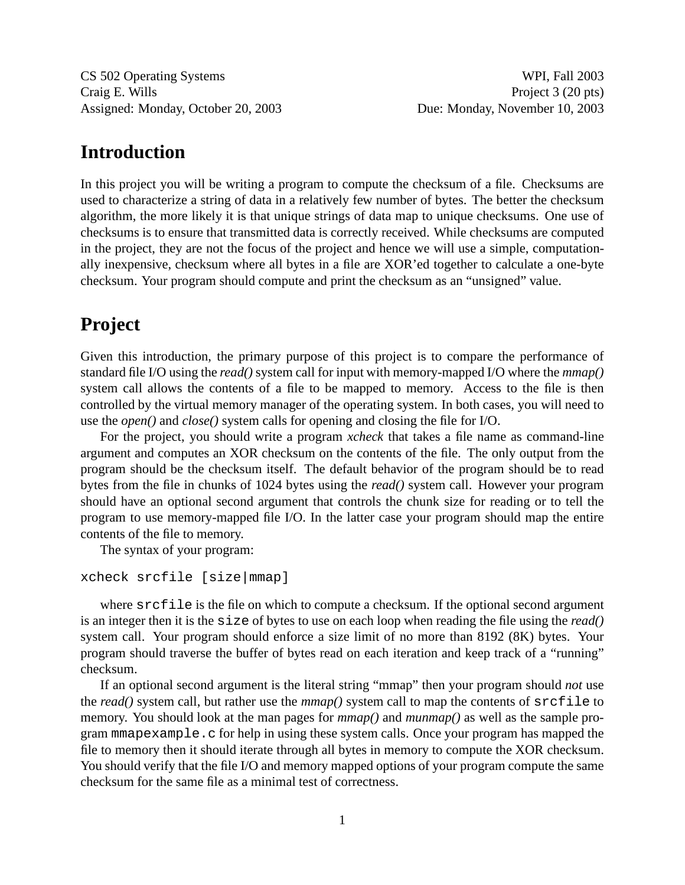CS 502 Operating Systems WPI, Fall 2003 Craig E. Wills Project 3 (20 pts) Assigned: Monday, October 20, 2003 Due: Monday, November 10, 2003

## **Introduction**

In this project you will be writing a program to compute the checksum of a file. Checksums are used to characterize a string of data in a relatively few number of bytes. The better the checksum algorithm, the more likely it is that unique strings of data map to unique checksums. One use of checksums is to ensure that transmitted data is correctly received. While checksums are computed in the project, they are not the focus of the project and hence we will use a simple, computationally inexpensive, checksum where all bytes in a file are XOR'ed together to calculate a one-byte checksum. Your program should compute and print the checksum as an "unsigned" value.

## **Project**

Given this introduction, the primary purpose of this project is to compare the performance of standard file I/O using the *read()* system call for input with memory-mapped I/O where the *mmap()* system call allows the contents of a file to be mapped to memory. Access to the file is then controlled by the virtual memory manager of the operating system. In both cases, you will need to use the *open()* and *close()* system calls for opening and closing the file for I/O.

For the project, you should write a program *xcheck* that takes a file name as command-line argument and computes an XOR checksum on the contents of the file. The only output from the program should be the checksum itself. The default behavior of the program should be to read bytes from the file in chunks of 1024 bytes using the *read()* system call. However your program should have an optional second argument that controls the chunk size for reading or to tell the program to use memory-mapped file I/O. In the latter case your program should map the entire contents of the file to memory.

The syntax of your program:

```
xcheck srcfile [size|mmap]
```
where srcfile is the file on which to compute a checksum. If the optional second argument is an integer then it is the size of bytes to use on each loop when reading the file using the *read()* system call. Your program should enforce a size limit of no more than 8192 (8K) bytes. Your program should traverse the buffer of bytes read on each iteration and keep track of a "running" checksum.

If an optional second argument is the literal string "mmap" then your program should *not* use the *read*() system call, but rather use the  $mmap$  () system call to map the contents of  $s$  rcfile to memory. You should look at the man pages for  $mmap()$  and  $mump()$  as well as the sample program mmapexample.c for help in using these system calls. Once your program has mapped the file to memory then it should iterate through all bytes in memory to compute the XOR checksum. You should verify that the file I/O and memory mapped options of your program compute the same checksum for the same file as a minimal test of correctness.